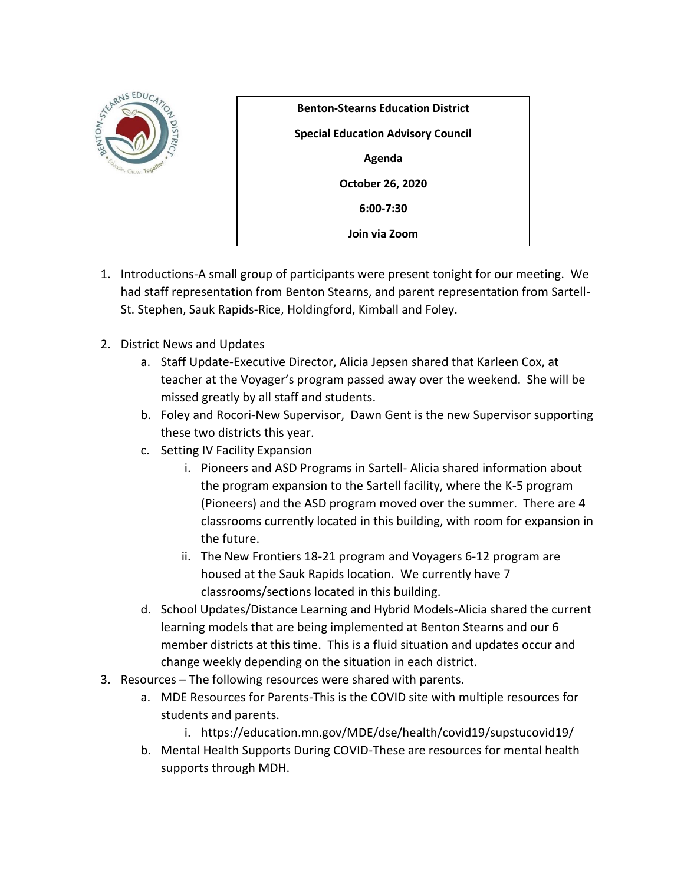

**Benton-Stearns Education District Special Education Advisory Council Agenda October 26, 2020 6:00-7:30 Join via Zoom**

- 1. Introductions-A small group of participants were present tonight for our meeting. We had staff representation from Benton Stearns, and parent representation from Sartell-St. Stephen, Sauk Rapids-Rice, Holdingford, Kimball and Foley.
- 2. District News and Updates
	- a. Staff Update-Executive Director, Alicia Jepsen shared that Karleen Cox, at teacher at the Voyager's program passed away over the weekend. She will be missed greatly by all staff and students.
	- b. Foley and Rocori-New Supervisor, Dawn Gent is the new Supervisor supporting these two districts this year.
	- c. Setting IV Facility Expansion
		- i. Pioneers and ASD Programs in Sartell- Alicia shared information about the program expansion to the Sartell facility, where the K-5 program (Pioneers) and the ASD program moved over the summer. There are 4 classrooms currently located in this building, with room for expansion in the future.
		- ii. The New Frontiers 18-21 program and Voyagers 6-12 program are housed at the Sauk Rapids location. We currently have 7 classrooms/sections located in this building.
	- d. School Updates/Distance Learning and Hybrid Models-Alicia shared the current learning models that are being implemented at Benton Stearns and our 6 member districts at this time. This is a fluid situation and updates occur and change weekly depending on the situation in each district.
- 3. Resources The following resources were shared with parents.
	- a. MDE Resources for Parents-This is the COVID site with multiple resources for students and parents.
		- i. https://education.mn.gov/MDE/dse/health/covid19/supstucovid19/
	- b. Mental Health Supports During COVID-These are resources for mental health supports through MDH.